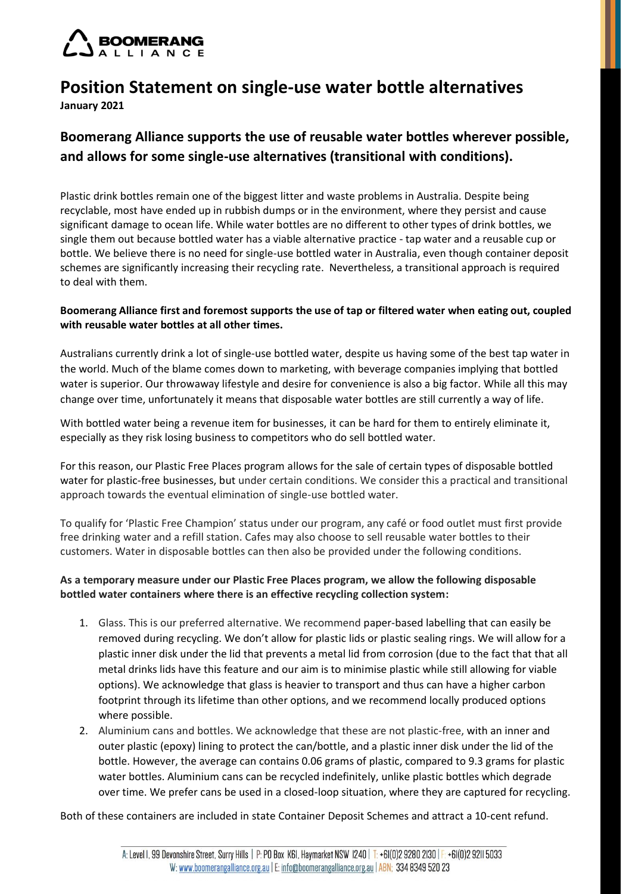

# **Position Statement on single-use water bottle alternatives January 2021**

## **Boomerang Alliance supports the use of reusable water bottles wherever possible, and allows for some single-use alternatives (transitional with conditions).**

Plastic drink bottles remain one of the biggest litter and waste problems in Australia. Despite being recyclable, most have ended up in rubbish dumps or in the environment, where they persist and cause significant damage to ocean life. While water bottles are no different to other types of drink bottles, we single them out because bottled water has a viable alternative practice - tap water and a reusable cup or bottle. We believe there is no need for single-use bottled water in Australia, even though container deposit schemes are significantly increasing their recycling rate. Nevertheless, a transitional approach is required to deal with them.

### **Boomerang Alliance first and foremost supports the use of tap or filtered water when eating out, coupled with reusable water bottles at all other times.**

Australians currently drink a lot of single-use bottled water, despite us having some of the best tap water in the world. Much of the blame comes down to marketing, with beverage companies implying that bottled water is superior. Our throwaway lifestyle and desire for convenience is also a big factor. While all this may change over time, unfortunately it means that disposable water bottles are still currently a way of life.

With bottled water being a revenue item for businesses, it can be hard for them to entirely eliminate it, especially as they risk losing business to competitors who do sell bottled water.

For this reason, our Plastic Free Places program allows for the sale of certain types of disposable bottled water for plastic-free businesses, but under certain conditions. We consider this a practical and transitional approach towards the eventual elimination of single-use bottled water.

To qualify for 'Plastic Free Champion' status under our program, any café or food outlet must first provide free drinking water and a refill station. Cafes may also choose to sell reusable water bottles to their customers. Water in disposable bottles can then also be provided under the following conditions.

### **As a temporary measure under our Plastic Free Places program, we allow the following disposable bottled water containers where there is an effective recycling collection system:**

- 1. Glass. This is our preferred alternative. We recommend paper-based labelling that can easily be removed during recycling. We don't allow for plastic lids or plastic sealing rings. We will allow for a plastic inner disk under the lid that prevents a metal lid from corrosion (due to the fact that that all metal drinks lids have this feature and our aim is to minimise plastic while still allowing for viable options). We acknowledge that glass is heavier to transport and thus can have a higher carbon footprint through its lifetime than other options, and we recommend locally produced options where possible.
- 2. Aluminium cans and bottles. We acknowledge that these are not plastic-free, with an inner and outer plastic (epoxy) lining to protect the can/bottle, and a plastic inner disk under the lid of the bottle. However, the average can contains 0.06 grams of plastic, compared to 9.3 grams for plastic water bottles. Aluminium cans can be recycled indefinitely, unlike plastic bottles which degrade over time. We prefer cans be used in a closed-loop situation, where they are captured for recycling.

Both of these containers are included in state Container Deposit Schemes and attract a 10-cent refund.